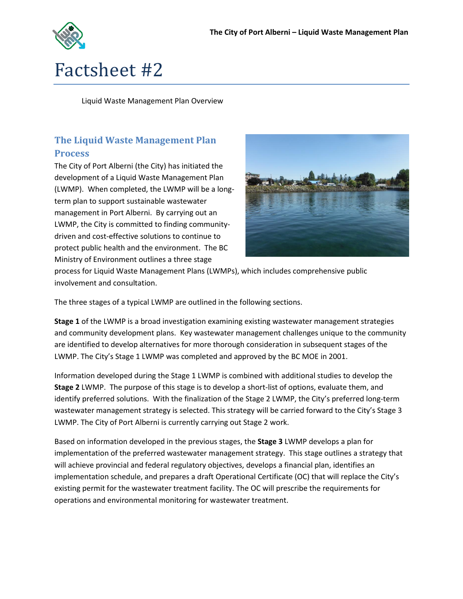

# Factsheet #2

Liquid Waste Management Plan Overview

# **The Liquid Waste Management Plan Process**

The City of Port Alberni (the City) has initiated the development of a Liquid Waste Management Plan (LWMP). When completed, the LWMP will be a longterm plan to support sustainable wastewater management in Port Alberni. By carrying out an LWMP, the City is committed to finding communitydriven and cost-effective solutions to continue to protect public health and the environment. The BC Ministry of Environment outlines a three stage



process for Liquid Waste Management Plans (LWMPs), which includes comprehensive public involvement and consultation.

The three stages of a typical LWMP are outlined in the following sections.

**Stage 1** of the LWMP is a broad investigation examining existing wastewater management strategies and community development plans. Key wastewater management challenges unique to the community are identified to develop alternatives for more thorough consideration in subsequent stages of the LWMP. The City's Stage 1 LWMP was completed and approved by the BC MOE in 2001.

Information developed during the Stage 1 LWMP is combined with additional studies to develop the **Stage 2** LWMP. The purpose of this stage is to develop a short-list of options, evaluate them, and identify preferred solutions. With the finalization of the Stage 2 LWMP, the City's preferred long-term wastewater management strategy is selected. This strategy will be carried forward to the City's Stage 3 LWMP. The City of Port Alberni is currently carrying out Stage 2 work.

Based on information developed in the previous stages, the **Stage 3** LWMP develops a plan for implementation of the preferred wastewater management strategy. This stage outlines a strategy that will achieve provincial and federal regulatory objectives, develops a financial plan, identifies an implementation schedule, and prepares a draft Operational Certificate (OC) that will replace the City's existing permit for the wastewater treatment facility. The OC will prescribe the requirements for operations and environmental monitoring for wastewater treatment.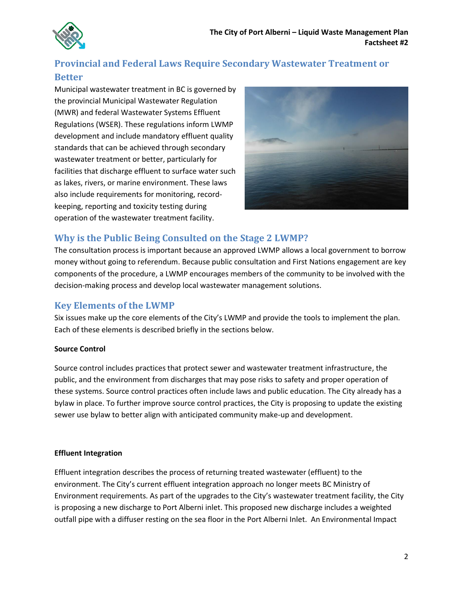

# **Provincial and Federal Laws Require Secondary Wastewater Treatment or Better**

Municipal wastewater treatment in BC is governed by the provincial Municipal Wastewater Regulation (MWR) and federal Wastewater Systems Effluent Regulations (WSER). These regulations inform LWMP development and include mandatory effluent quality standards that can be achieved through secondary wastewater treatment or better, particularly for facilities that discharge effluent to surface water such as lakes, rivers, or marine environment. These laws also include requirements for monitoring, recordkeeping, reporting and toxicity testing during operation of the wastewater treatment facility.



# **Why is the Public Being Consulted on the Stage 2 LWMP?**

The consultation process is important because an approved LWMP allows a local government to borrow money without going to referendum. Because public consultation and First Nations engagement are key components of the procedure, a LWMP encourages members of the community to be involved with the decision-making process and develop local wastewater management solutions.

## **Key Elements of the LWMP**

Six issues make up the core elements of the City's LWMP and provide the tools to implement the plan. Each of these elements is described briefly in the sections below.

## **Source Control**

Source control includes practices that protect sewer and wastewater treatment infrastructure, the public, and the environment from discharges that may pose risks to safety and proper operation of these systems. Source control practices often include laws and public education. The City already has a bylaw in place. To further improve source control practices, the City is proposing to update the existing sewer use bylaw to better align with anticipated community make-up and development.

## **Effluent Integration**

Effluent integration describes the process of returning treated wastewater (effluent) to the environment. The City's current effluent integration approach no longer meets BC Ministry of Environment requirements. As part of the upgrades to the City's wastewater treatment facility, the City is proposing a new discharge to Port Alberni inlet. This proposed new discharge includes a weighted outfall pipe with a diffuser resting on the sea floor in the Port Alberni Inlet. An Environmental Impact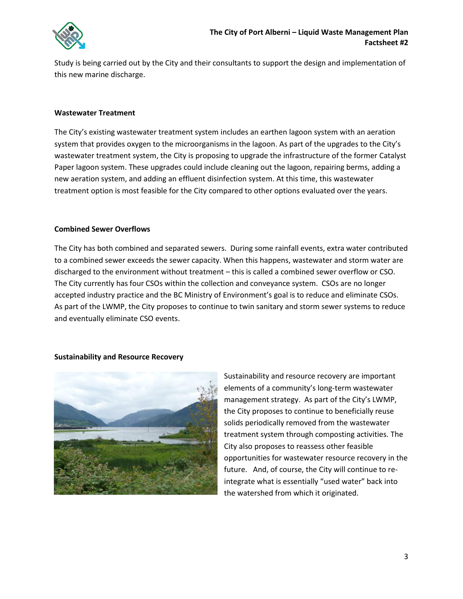

Study is being carried out by the City and their consultants to support the design and implementation of this new marine discharge.

#### **Wastewater Treatment**

The City's existing wastewater treatment system includes an earthen lagoon system with an aeration system that provides oxygen to the microorganisms in the lagoon. As part of the upgrades to the City's wastewater treatment system, the City is proposing to upgrade the infrastructure of the former Catalyst Paper lagoon system. These upgrades could include cleaning out the lagoon, repairing berms, adding a new aeration system, and adding an effluent disinfection system. At this time, this wastewater treatment option is most feasible for the City compared to other options evaluated over the years.

## **Combined Sewer Overflows**

The City has both combined and separated sewers. During some rainfall events, extra water contributed to a combined sewer exceeds the sewer capacity. When this happens, wastewater and storm water are discharged to the environment without treatment – this is called a combined sewer overflow or CSO. The City currently has four CSOs within the collection and conveyance system. CSOs are no longer accepted industry practice and the BC Ministry of Environment's goal is to reduce and eliminate CSOs. As part of the LWMP, the City proposes to continue to twin sanitary and storm sewer systems to reduce and eventually eliminate CSO events.

#### **Sustainability and Resource Recovery**



Sustainability and resource recovery are important elements of a community's long-term wastewater management strategy. As part of the City's LWMP, the City proposes to continue to beneficially reuse solids periodically removed from the wastewater treatment system through composting activities. The City also proposes to reassess other feasible opportunities for wastewater resource recovery in the future. And, of course, the City will continue to reintegrate what is essentially "used water" back into the watershed from which it originated.